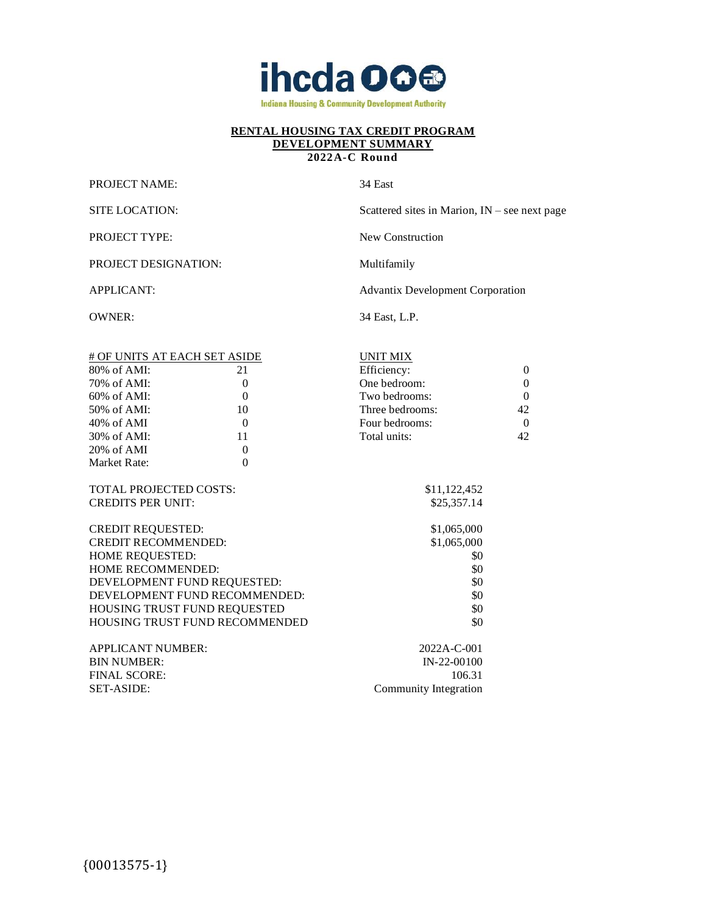

#### **2022A-C Round**

| <b>PROJECT NAME:</b> |  |
|----------------------|--|
|----------------------|--|

34 East

| SITE LOCATION:               | Scattered sites in Marion, $IN$ – see next page |
|------------------------------|-------------------------------------------------|
| <b>PROJECT TYPE:</b>         | New Construction                                |
| <b>PROJECT DESIGNATION:</b>  | Multifamily                                     |
| <b>APPLICANT:</b>            | <b>Advantix Development Corporation</b>         |
| OWNER:                       | 34 East, L.P.                                   |
| # OF UNITS AT EACH SET ASIDE | UNIT MIX                                        |

| $80\%$ of AMI:                | 21                             | Efficiency:     | $\overline{0}$ |
|-------------------------------|--------------------------------|-----------------|----------------|
| 70% of AMI:                   | $\theta$                       | One bedroom:    | $\overline{0}$ |
| 60% of AMI:                   | $\theta$                       | Two bedrooms:   | $\overline{0}$ |
| 50% of AMI:                   | 10                             | Three bedrooms: | 42             |
| $40\%$ of AMI                 | $\Omega$                       | Four bedrooms:  | $\theta$       |
| 30% of AMI:                   | 11                             | Total units:    | 42             |
| 20% of AMI                    | $\theta$                       |                 |                |
| Market Rate:                  | $\theta$                       |                 |                |
| <b>TOTAL PROJECTED COSTS:</b> |                                | \$11,122,452    |                |
| <b>CREDITS PER UNIT:</b>      |                                | \$25,357.14     |                |
| <b>CREDIT REQUESTED:</b>      |                                | \$1,065,000     |                |
| <b>CREDIT RECOMMENDED:</b>    |                                | \$1,065,000     |                |
| <b>HOME REQUESTED:</b>        |                                | \$0             |                |
| <b>HOME RECOMMENDED:</b>      |                                | \$0             |                |
|                               | DEVELOPMENT FUND REQUESTED:    | \$0             |                |
|                               | DEVELOPMENT FUND RECOMMENDED:  | \$0             |                |
|                               | HOUSING TRUST FUND REQUESTED   | \$0             |                |
|                               | HOUSING TRUST FUND RECOMMENDED | \$0             |                |
| <b>APPLICANT NUMBER:</b>      |                                | 2022A-C-001     |                |
| <b>BIN NUMBER:</b>            |                                | $IN-22-00100$   |                |

FINAL SCORE: 106.31 SET-ASIDE: Community Integration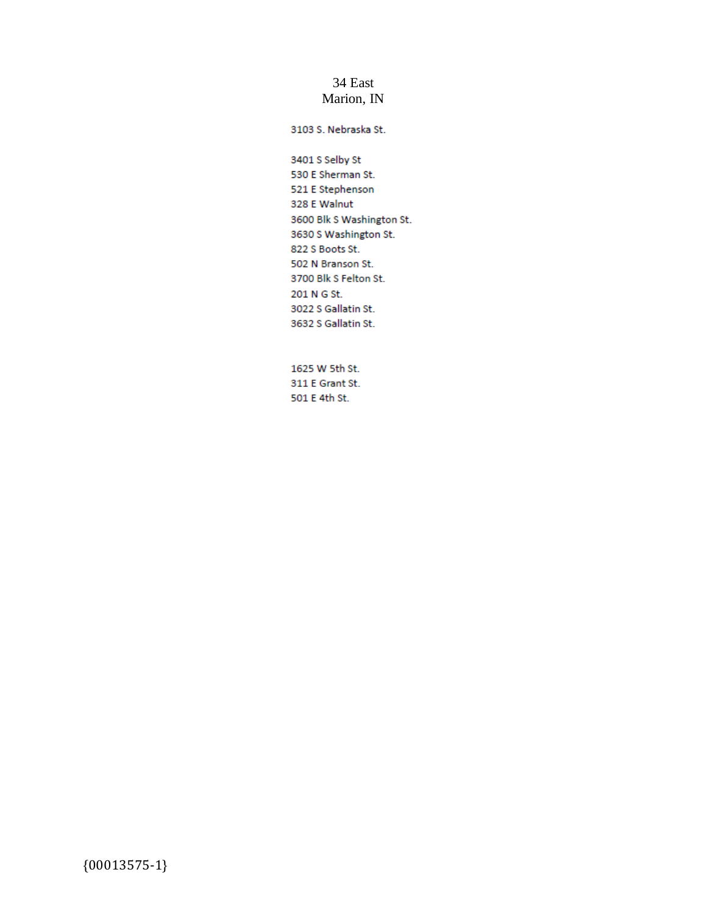## 34 East Marion, IN

3103 S. Nebraska St.

3401 S Selby St 530 E Sherman St. 521 E Stephenson 328 E Walnut 3600 Blk S Washington St. 3630 S Washington St. 822 S Boots St. 502 N Branson St. 3700 Blk S Felton St. 201 N G St. 3022 S Gallatin St. 3632 S Gallatin St.

1625 W 5th St. 311 E Grant St. 501 E 4th St.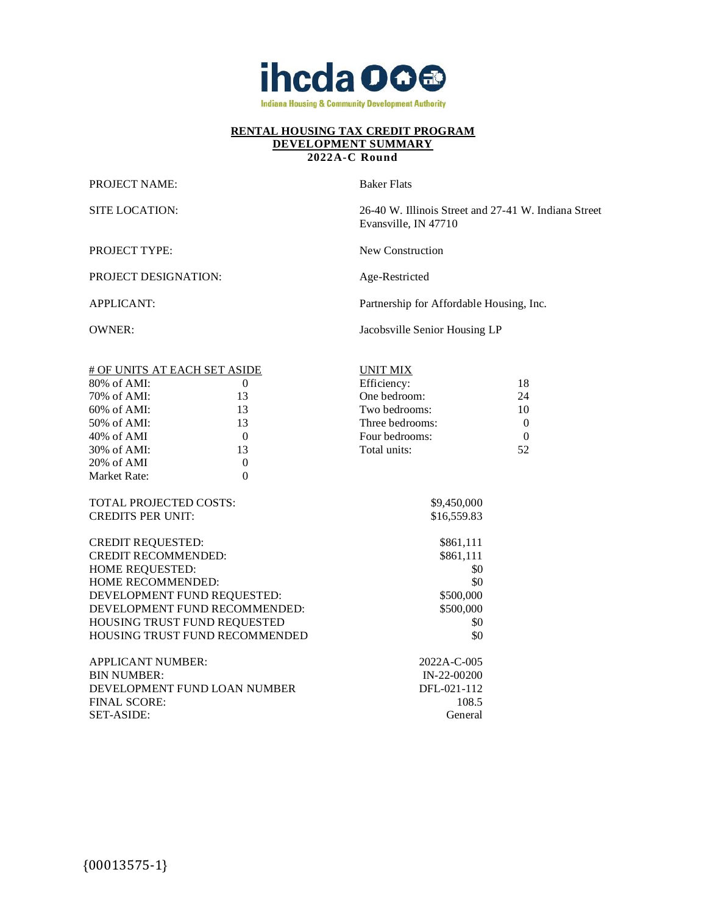

#### **2022A-C Round**

PROJECT NAME: Baker Flats

SITE LOCATION: 26-40 W. Illinois Street and 27-41 W. Indiana Street Evansville, IN 47710

| <b>PROJECT TYPE:</b> | New Construction |
|----------------------|------------------|

PROJECT DESIGNATION: Age-Restricted

APPLICANT: Partnership for Affordable Housing, Inc.

OWNER: Jacobsville Senior Housing LP

| # OF UNITS AT EACH SET ASIDE |                                | <b>UNIT MIX</b> |          |
|------------------------------|--------------------------------|-----------------|----------|
| $80\%$ of AMI:               | $\theta$                       | Efficiency:     | 18       |
| 70% of AMI:                  | 13                             | One bedroom:    | 24       |
| $60\%$ of AMI:               | 13                             | Two bedrooms:   | 10       |
| 50% of AMI:                  | 13                             | Three bedrooms: | $\theta$ |
| $40\%$ of AMI                | $\Omega$                       | Four bedrooms:  | $\Omega$ |
| 30% of AMI:                  | 13                             | Total units:    | 52       |
| 20% of AMI                   | $\theta$                       |                 |          |
| Market Rate:                 | $\theta$                       |                 |          |
|                              |                                |                 |          |
| TOTAL PROJECTED COSTS:       |                                | \$9,450,000     |          |
| <b>CREDITS PER UNIT:</b>     |                                | \$16,559.83     |          |
|                              |                                |                 |          |
| <b>CREDIT REQUESTED:</b>     |                                | \$861,111       |          |
| <b>CREDIT RECOMMENDED:</b>   |                                | \$861,111       |          |
| HOME REQUESTED:              |                                | \$0             |          |
| HOME RECOMMENDED:            |                                | \$0             |          |
| DEVELOPMENT FUND REQUESTED:  |                                | \$500,000       |          |
|                              | DEVELOPMENT FUND RECOMMENDED:  | \$500,000       |          |
|                              | HOUSING TRUST FUND REQUESTED   | \$0             |          |
|                              | HOUSING TRUST FUND RECOMMENDED | \$0             |          |
|                              |                                |                 |          |
| <b>APPLICANT NUMBER:</b>     |                                | 2022A-C-005     |          |
| <b>BIN NUMBER:</b>           |                                | $IN-22-00200$   |          |
|                              | DEVELOPMENT FUND LOAN NUMBER   | DFL-021-112     |          |
| <b>FINAL SCORE:</b>          |                                | 108.5           |          |
| <b>SET-ASIDE:</b>            |                                | General         |          |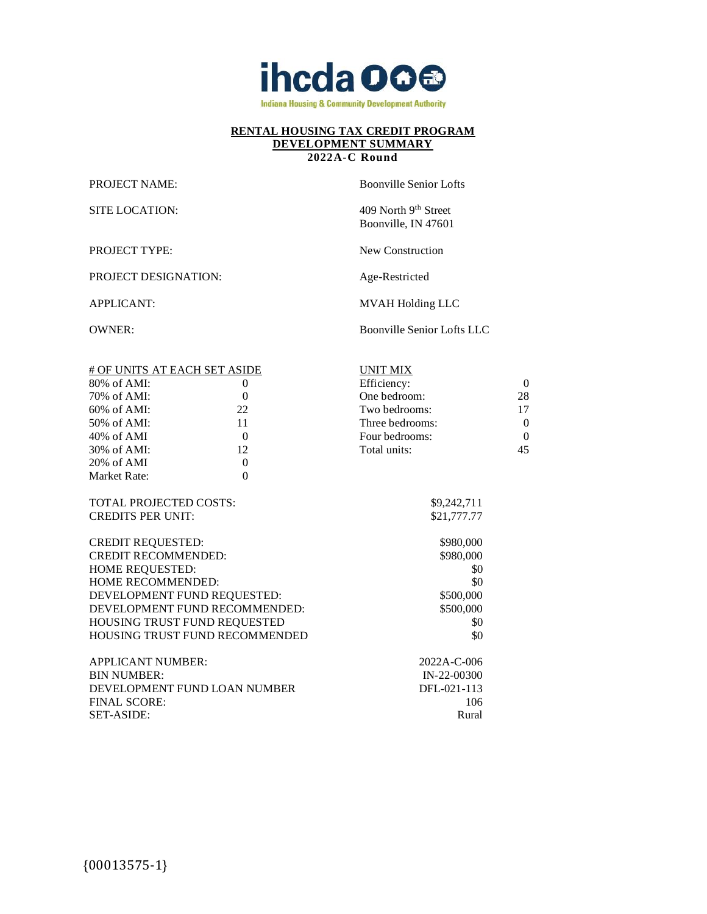

## **2022A-C Round**

PROJECT TYPE: New Construction

PROJECT DESIGNATION: Age-Restricted

PROJECT NAME: Boonville Senior Lofts

SITE LOCATION: 409 North 9th Street Boonville, IN 47601

APPLICANT: MVAH Holding LLC

OWNER: Boonville Senior Lofts LLC

| # OF UNITS AT EACH SET ASIDE |                                | <b>UNIT MIX</b> |              |
|------------------------------|--------------------------------|-----------------|--------------|
| $80\%$ of AMI:               | $\mathbf{0}$                   | Efficiency:     | $\theta$     |
| 70% of AMI:                  | $\mathbf{0}$                   | One bedroom:    | 28           |
| 60% of AMI:                  | 22                             | Two bedrooms:   | 17           |
| 50% of AMI:                  | 11                             | Three bedrooms: | $\theta$     |
| $40\%$ of AMI                | $\Omega$                       | Four bedrooms:  | $\mathbf{0}$ |
| 30% of AMI:                  | 12                             | Total units:    | 45           |
| 20% of AMI                   | $\overline{0}$                 |                 |              |
| Market Rate:                 | $\theta$                       |                 |              |
|                              |                                |                 |              |
| TOTAL PROJECTED COSTS:       |                                | \$9,242,711     |              |
| <b>CREDITS PER UNIT:</b>     |                                | \$21,777.77     |              |
|                              |                                |                 |              |
| <b>CREDIT REQUESTED:</b>     |                                | \$980,000       |              |
| <b>CREDIT RECOMMENDED:</b>   |                                | \$980,000       |              |
| HOME REQUESTED:              |                                | \$0             |              |
| HOME RECOMMENDED:            |                                | \$0             |              |
| DEVELOPMENT FUND REQUESTED:  |                                | \$500,000       |              |
|                              | DEVELOPMENT FUND RECOMMENDED:  | \$500,000       |              |
| HOUSING TRUST FUND REQUESTED |                                | \$0             |              |
|                              | HOUSING TRUST FUND RECOMMENDED | \$0             |              |
|                              |                                |                 |              |
| <b>APPLICANT NUMBER:</b>     |                                | 2022A-C-006     |              |
| <b>BIN NUMBER:</b>           |                                | $IN-22-00300$   |              |
| DEVELOPMENT FUND LOAN NUMBER |                                | DFL-021-113     |              |
| <b>FINAL SCORE:</b>          |                                | 106             |              |
| <b>SET-ASIDE:</b>            |                                | Rural           |              |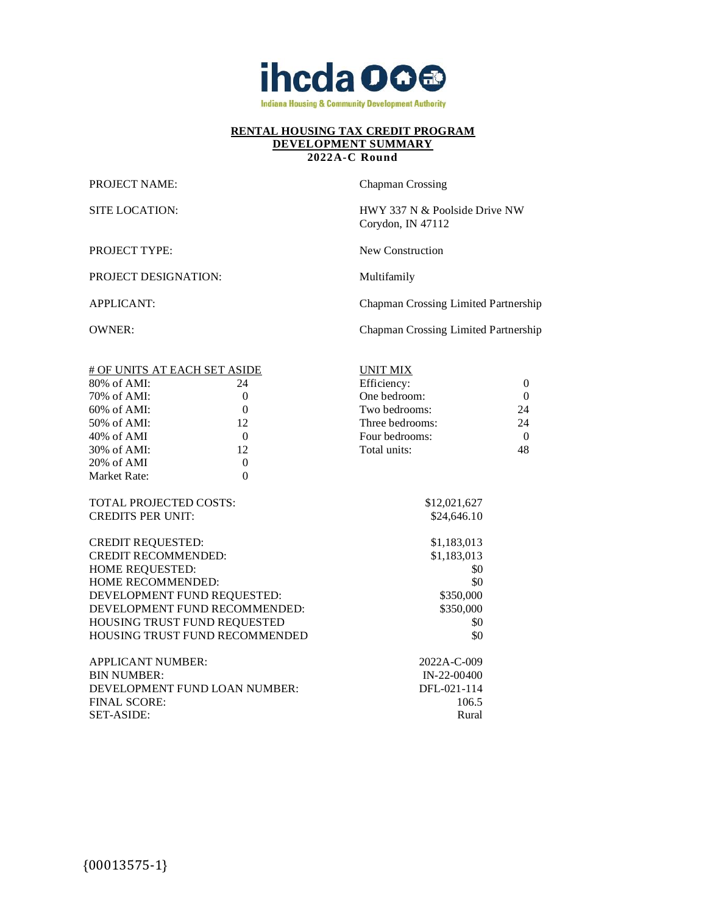

#### **2022A-C Round**

PROJECT NAME: Chapman Crossing

SITE LOCATION: HWY 337 N & Poolside Drive NW Corydon, IN 47112

PROJECT TYPE: New Construction

PROJECT DESIGNATION: Multifamily

APPLICANT: Chapman Crossing Limited Partnership

OWNER: Chapman Crossing Limited Partnership

| # OF UNITS AT EACH SET ASIDE  |                                | <b>UNIT MIX</b> |                |
|-------------------------------|--------------------------------|-----------------|----------------|
| $80\%$ of AMI:                | 24                             | Efficiency:     | $\overline{0}$ |
| 70% of AMI:                   | $\theta$                       | One bedroom:    | $\overline{0}$ |
| $60\%$ of AMI:                | $\mathbf{0}$                   | Two bedrooms:   | 24             |
| 50% of AMI:                   | 12                             | Three bedrooms: | 24             |
| 40% of AMI                    | $\Omega$                       | Four bedrooms:  | $\overline{0}$ |
| 30% of AMI:                   | 12                             | Total units:    | 48             |
| 20% of AMI                    | $\overline{0}$                 |                 |                |
| Market Rate:                  | $\theta$                       |                 |                |
|                               |                                |                 |                |
| <b>TOTAL PROJECTED COSTS:</b> |                                | \$12,021,627    |                |
| <b>CREDITS PER UNIT:</b>      |                                | \$24,646.10     |                |
|                               |                                |                 |                |
| <b>CREDIT REQUESTED:</b>      |                                | \$1,183,013     |                |
| <b>CREDIT RECOMMENDED:</b>    |                                | \$1,183,013     |                |
| HOME REQUESTED:               |                                | \$0             |                |
| <b>HOME RECOMMENDED:</b>      |                                | \$0             |                |
| DEVELOPMENT FUND REQUESTED:   |                                | \$350,000       |                |
| DEVELOPMENT FUND RECOMMENDED: |                                | \$350,000       |                |
| HOUSING TRUST FUND REQUESTED  |                                | \$0             |                |
|                               | HOUSING TRUST FUND RECOMMENDED | \$0             |                |
|                               |                                |                 |                |
| <b>APPLICANT NUMBER:</b>      |                                | 2022A-C-009     |                |
| <b>BIN NUMBER:</b>            |                                | $IN-22-00400$   |                |
| DEVELOPMENT FUND LOAN NUMBER: |                                | DFL-021-114     |                |
| <b>FINAL SCORE:</b>           |                                | 106.5           |                |
| <b>SET-ASIDE:</b>             |                                | Rural           |                |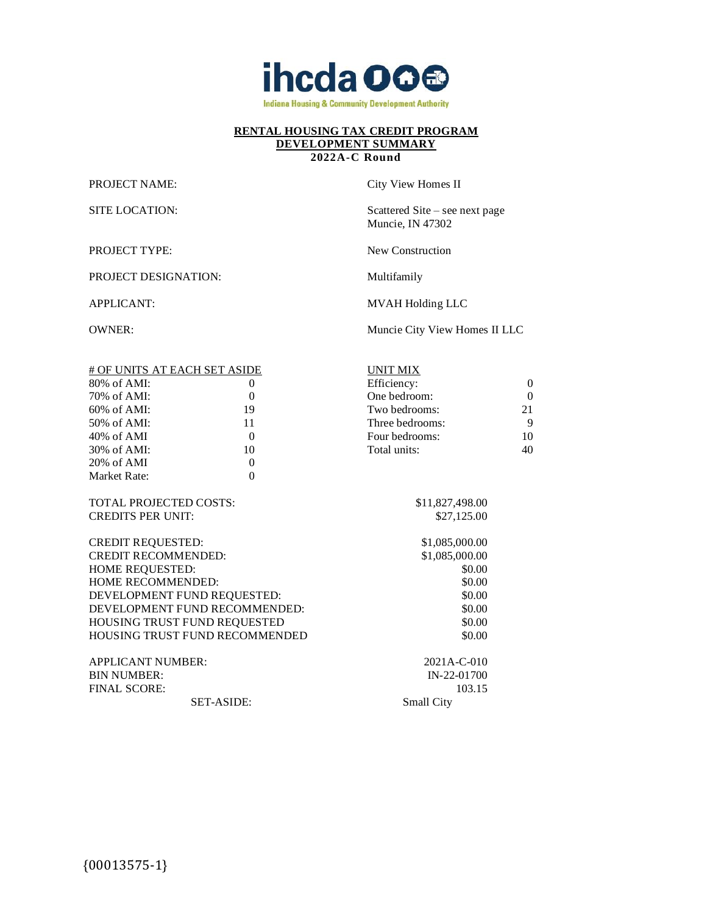

#### **2022A-C Round**

PROJECT DESIGNATION: Multifamily

PROJECT NAME: City View Homes II

SITE LOCATION: Scattered Site – see next page Muncie, IN 47302

PROJECT TYPE: New Construction

UNIT MIX

APPLICANT: MVAH Holding LLC

OWNER: Muncie City View Homes II LLC

| # OF UNITS AT EACH SET ASIDE |          |  |
|------------------------------|----------|--|
| $80\%$ of $AMI$ :            |          |  |
| $70\%$ of AMI:               | $\Omega$ |  |
| $60\%$ of AMI:               | 19       |  |
| $50\%$ of AMI:               | 11       |  |
| $40\%$ of AMI                | $\Omega$ |  |
| $30\%$ of AMI:               | 10       |  |
| $20\%$ of AMI                |          |  |
| Market Rate:                 |          |  |

TOTAL PROJECTED COSTS: \$11,827,498.00 CREDITS PER UNIT: \$27,125.00

CREDIT REQUESTED: \$1,085,000.00 CREDIT RECOMMENDED: \$1,085,000.00 HOME REQUESTED: \$0.00 HOME RECOMMENDED: \$0.00 DEVELOPMENT FUND REQUESTED: \$0.00 DEVELOPMENT FUND RECOMMENDED: \$0.00 HOUSING TRUST FUND REQUESTED \$0.00 HOUSING TRUST FUND RECOMMENDED \$0.00

Two bedrooms: 21 Three bedrooms: 9 Four bedrooms: 10 Total units: 40

 $\blacksquare$  Efficiency: 0 One bedroom: 0

APPLICANT NUMBER: 2021A-C-010 BIN NUMBER: IN-22-01700 FINAL SCORE: 103.15 SET-ASIDE: Small City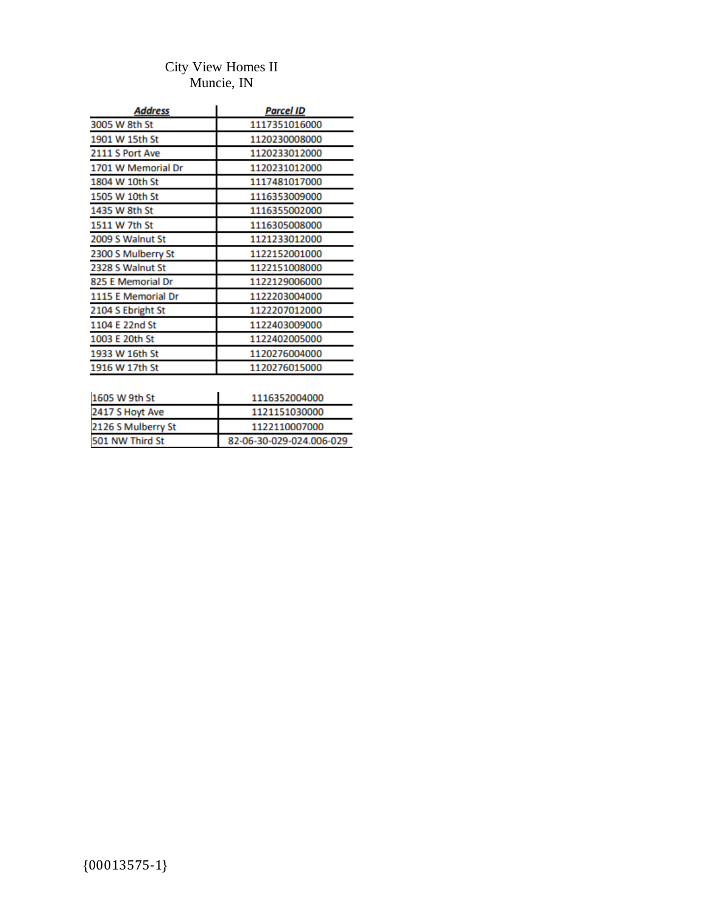## City View Homes II Muncie, IN

| Address            | Parcel ID     |
|--------------------|---------------|
| 3005 W 8th St      | 1117351016000 |
| 1901 W 15th St     | 1120230008000 |
| 2111 S Port Ave    | 1120233012000 |
| 1701 W Memorial Dr | 1120231012000 |
| 1804 W 10th St     | 1117481017000 |
| 1505 W 10th St     | 1116353009000 |
| 1435 W 8th St      | 1116355002000 |
| 1511 W 7th St      | 1116305008000 |
| 2009 S Walnut St   | 1121233012000 |
| 2300 S Mulberry St | 1122152001000 |
| 2328 S Walnut St   | 1122151008000 |
| 825 E Memorial Dr  | 1122129006000 |
| 1115 E Memorial Dr | 1122203004000 |
| 2104 S Ebright St  | 1122207012000 |
| 1104 E 22nd St     | 1122403009000 |
| 1003 E 20th St     | 1122402005000 |
| 1933 W 16th St     | 1120276004000 |
| 1916 W 17th St     | 1120276015000 |
|                    |               |

| 1116352004000            |
|--------------------------|
| 1121151030000            |
| 1122110007000            |
| 82-06-30-029-024.006-029 |
|                          |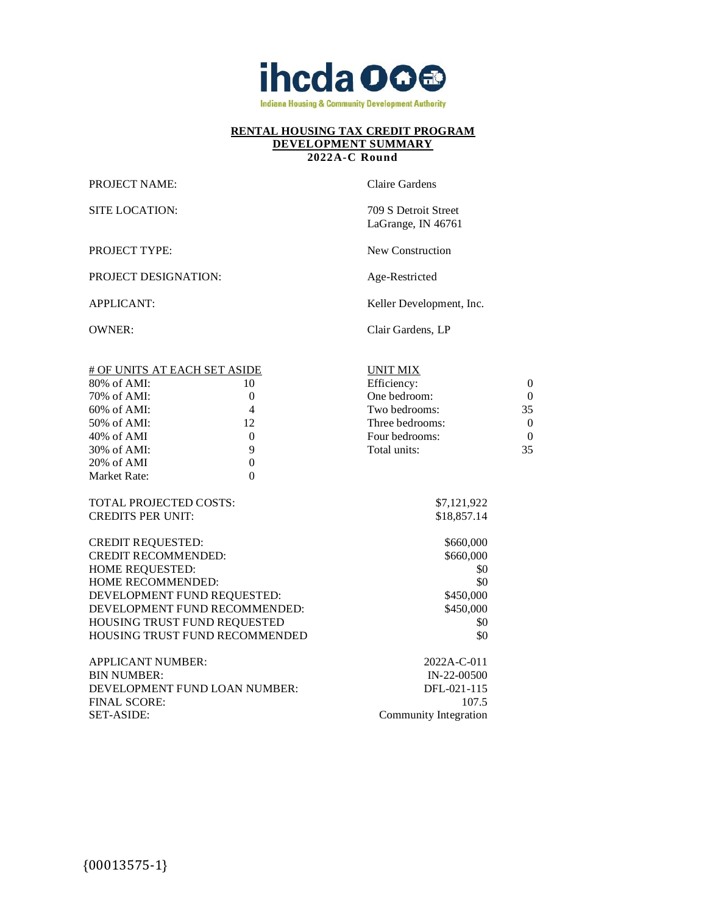

## **2022A-C Round**

PROJECT NAME: Claire Gardens

SITE LOCATION: 709 S Detroit Street

LaGrange, IN 46761

PROJECT TYPE: New Construction

PROJECT DESIGNATION: Age-Restricted

APPLICANT: Keller Development, Inc.

OWNER: Clair Gardens, LP

| # OF UNITS AT EACH SET ASIDE |          | UNIT MIX        |          |
|------------------------------|----------|-----------------|----------|
| $80\%$ of AMI:               | 10       | Efficiency:     | $\Omega$ |
| 70% of AMI:                  | 0        | One bedroom:    | 0        |
| $60\%$ of AMI:               | 4        | Two bedrooms:   | 35       |
| $50\%$ of AMI:               | 12       | Three bedrooms: | 0        |
| $40\%$ of AMI                | $\Omega$ | Four bedrooms:  | 0        |
| 30% of AMI:                  | 9        | Total units:    | 35       |
| $20\%$ of AMI                | 0        |                 |          |
| Market Rate:                 | 0        |                 |          |
|                              |          |                 |          |
|                              |          |                 |          |

TOTAL PROJECTED COSTS: CREDITS PER UNIT:

CREDIT REQUESTED: \$660,000 CREDIT RECOMMENDED: HOME REQUESTED: HOME RECOMMENDED: DEVELOPMENT FUND REQUESTED: DEVELOPMENT FUND RECOMMENDED: HOUSING TRUST FUND REQUESTED \$0 HOUSING TRUST FUND RECOMMENDED \$0

| APPLICANT NUMBER:             | 2022A-C-011           |
|-------------------------------|-----------------------|
| <b>BIN NUMBER:</b>            | IN-22-00500           |
| DEVELOPMENT FUND LOAN NUMBER: | DFL-021-115           |
| FINAL SCORE:                  | 107.5                 |
| SET-ASIDE: I                  | Community Integration |
|                               |                       |

| UNIT MIX        |                   |
|-----------------|-------------------|
| Efficiency:     | $\mathbf{\Omega}$ |
| One bedroom:    | $\mathbf{\Omega}$ |
| Two bedrooms:   | 35                |
| Three bedrooms: | $\Omega$          |
| Four bedrooms:  | $\Omega$          |
| Total units:    | 35                |
|                 |                   |

| \$7,121,922 |
|-------------|
| \$18,857.14 |
|             |

| wuu vuu   |  |
|-----------|--|
| \$660,000 |  |
| \$0       |  |
| \$0       |  |
| \$450,000 |  |
| \$450.000 |  |
| \$0       |  |
| \$0       |  |
|           |  |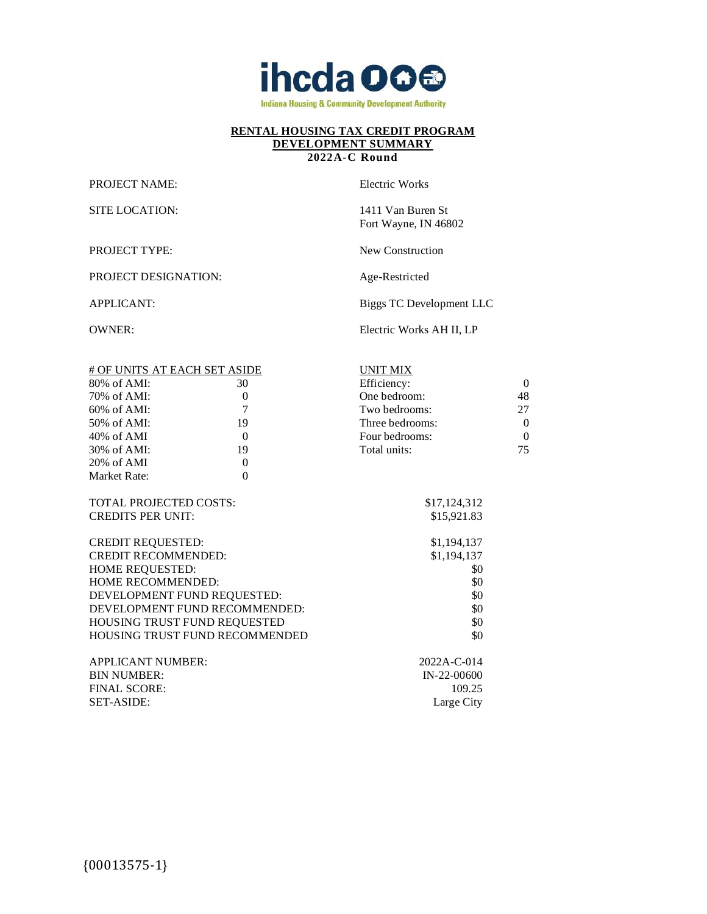

## **2022A-C Round**

PROJECT NAME: Electric Works

SITE LOCATION: 1411 Van Buren St Fort Wayne, IN 46802

PROJECT TYPE: New Construction

PROJECT DESIGNATION: Age-Restricted

APPLICANT: Biggs TC Development LLC

OWNER: Electric Works AH II, LP

| # OF UNITS AT EACH SET ASIDE |                                | <b>UNIT MIX</b> |              |
|------------------------------|--------------------------------|-----------------|--------------|
| $80\%$ of AMI:               | 30                             | Efficiency:     | $\mathbf{0}$ |
| 70% of AMI:                  | $\boldsymbol{0}$               | One bedroom:    | 48           |
| 60% of AMI:                  | $\overline{7}$                 | Two bedrooms:   | 27           |
| 50% of AMI:                  | 19                             | Three bedrooms: | $\theta$     |
| 40% of AMI                   | $\overline{0}$                 | Four bedrooms:  | $\mathbf{0}$ |
| 30% of AMI:                  | 19                             | Total units:    | 75           |
| 20% of AMI                   | $\overline{0}$                 |                 |              |
| Market Rate:                 | $\mathbf{0}$                   |                 |              |
|                              |                                |                 |              |
| TOTAL PROJECTED COSTS:       |                                | \$17,124,312    |              |
| <b>CREDITS PER UNIT:</b>     |                                | \$15,921.83     |              |
|                              |                                |                 |              |
| <b>CREDIT REQUESTED:</b>     |                                | \$1,194,137     |              |
| <b>CREDIT RECOMMENDED:</b>   |                                | \$1,194,137     |              |
| HOME REQUESTED:              |                                | \$0             |              |
| HOME RECOMMENDED:            |                                | \$0             |              |
|                              | DEVELOPMENT FUND REQUESTED:    | \$0             |              |
|                              | DEVELOPMENT FUND RECOMMENDED:  | \$0             |              |
|                              | HOUSING TRUST FUND REQUESTED   | \$0             |              |
|                              | HOUSING TRUST FUND RECOMMENDED | \$0             |              |
|                              |                                |                 |              |
| <b>APPLICANT NUMBER:</b>     |                                | 2022A-C-014     |              |
| <b>BIN NUMBER:</b>           |                                | IN-22-00600     |              |
| <b>FINAL SCORE:</b>          |                                | 109.25          |              |
| <b>SET-ASIDE:</b>            |                                | Large City      |              |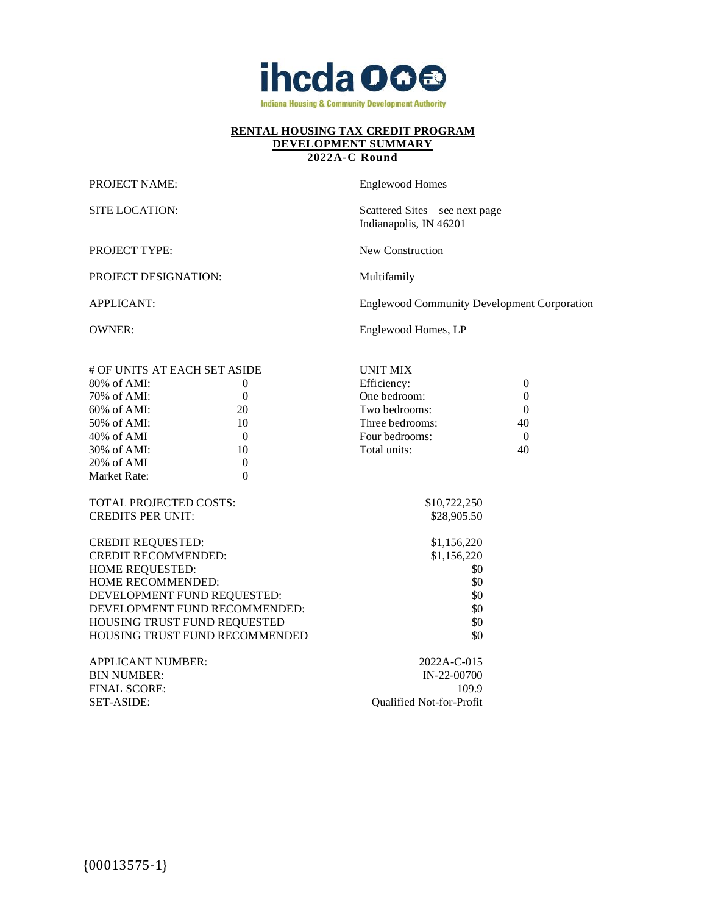

#### **2022A-C Round**

PROJECT NAME: Englewood Homes

SITE LOCATION: Scattered Sites – see next page Indianapolis, IN 46201

PROJECT TYPE: New Construction

PROJECT DESIGNATION: Multifamily

APPLICANT: Englewood Community Development Corporation

OWNER: Englewood Homes, LP

|                               | # OF UNITS AT EACH SET ASIDE          | <b>UNIT MIX</b>          |                  |
|-------------------------------|---------------------------------------|--------------------------|------------------|
| 80% of AMI:                   | $\theta$                              | Efficiency:              | $\Omega$         |
| 70% of AMI:                   | $\theta$                              | One bedroom:             | $\boldsymbol{0}$ |
| $60\%$ of AMI:                | 20                                    | Two bedrooms:            | $\theta$         |
| 50% of AMI:                   | 10                                    | Three bedrooms:          | 40               |
| $40\%$ of AMI                 | $\Omega$                              | Four bedrooms:           | $\Omega$         |
| 30% of AMI:                   | 10                                    | Total units:             | 40               |
| 20% of AMI                    | $\theta$                              |                          |                  |
| Market Rate:                  | $\theta$                              |                          |                  |
|                               |                                       |                          |                  |
| <b>TOTAL PROJECTED COSTS:</b> |                                       | \$10,722,250             |                  |
| <b>CREDITS PER UNIT:</b>      |                                       | \$28,905.50              |                  |
|                               |                                       |                          |                  |
| <b>CREDIT REQUESTED:</b>      |                                       | \$1,156,220              |                  |
| <b>CREDIT RECOMMENDED:</b>    |                                       | \$1,156,220              |                  |
| HOME REQUESTED:               |                                       | \$0                      |                  |
| <b>HOME RECOMMENDED:</b>      |                                       | \$0                      |                  |
|                               | DEVELOPMENT FUND REQUESTED:           | \$0                      |                  |
|                               | DEVELOPMENT FUND RECOMMENDED:         | \$0                      |                  |
|                               | HOUSING TRUST FUND REQUESTED          | \$0                      |                  |
|                               | <b>HOUSING TRUST FUND RECOMMENDED</b> | \$0                      |                  |
|                               |                                       |                          |                  |
| <b>APPLICANT NUMBER:</b>      |                                       | 2022A-C-015              |                  |
| <b>BIN NUMBER:</b>            |                                       | $IN-22-00700$            |                  |
| <b>FINAL SCORE:</b>           |                                       | 109.9                    |                  |
| <b>SET-ASIDE:</b>             |                                       | Qualified Not-for-Profit |                  |
|                               |                                       |                          |                  |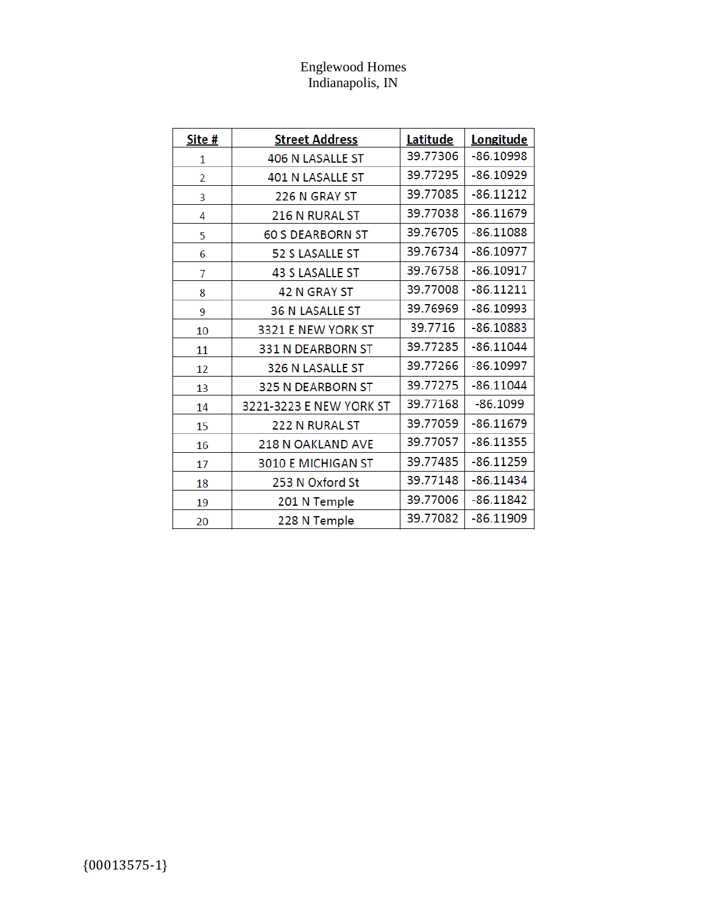# Englewood Homes Indianapolis, IN

| Site #         | <b>Street Address</b>    | Latitude | Longitude   |
|----------------|--------------------------|----------|-------------|
| 1              | <b>406 N LASALLE ST</b>  | 39.77306 | $-86.10998$ |
| $\overline{2}$ | <b>401 N LASALLE ST</b>  | 39.77295 | $-86.10929$ |
| 3              | 226 N GRAY ST            | 39.77085 | $-86.11212$ |
| 4              | 216 N RURAL ST           | 39.77038 | $-86.11679$ |
| 5              | <b>60 S DEARBORN ST</b>  | 39.76705 | $-86.11088$ |
| 6              | 52 S LASALLE ST          | 39.76734 | $-86.10977$ |
| 7              | <b>43 S LASALLE ST</b>   | 39.76758 | $-86.10917$ |
| 8              | <b>42 N GRAY ST</b>      | 39.77008 | $-86.11211$ |
| 9              | <b>36 N LASALLE ST</b>   | 39.76969 | $-86.10993$ |
| 10             | 3321 E NEW YORK ST       | 39.7716  | $-86.10883$ |
| 11             | 331 N DEARBORN ST        | 39.77285 | $-86.11044$ |
| 12             | 326 N LASALLE ST         | 39.77266 | $-86.10997$ |
| 13             | 325 N DEARBORN ST        | 39.77275 | $-86.11044$ |
| 14             | 3221-3223 E NEW YORK ST  | 39.77168 | $-86.1099$  |
| 15             | 222 N RURAL ST           | 39.77059 | $-86.11679$ |
| 16             | <b>218 N OAKLAND AVE</b> | 39.77057 | $-86.11355$ |
| 17             | 3010 E MICHIGAN ST       | 39.77485 | $-86.11259$ |
| 18             | 253 N Oxford St          | 39.77148 | $-86.11434$ |
| 19             | 201 N Temple             | 39.77006 | $-86.11842$ |
| 20             | 228 N Temple             | 39.77082 | $-86.11909$ |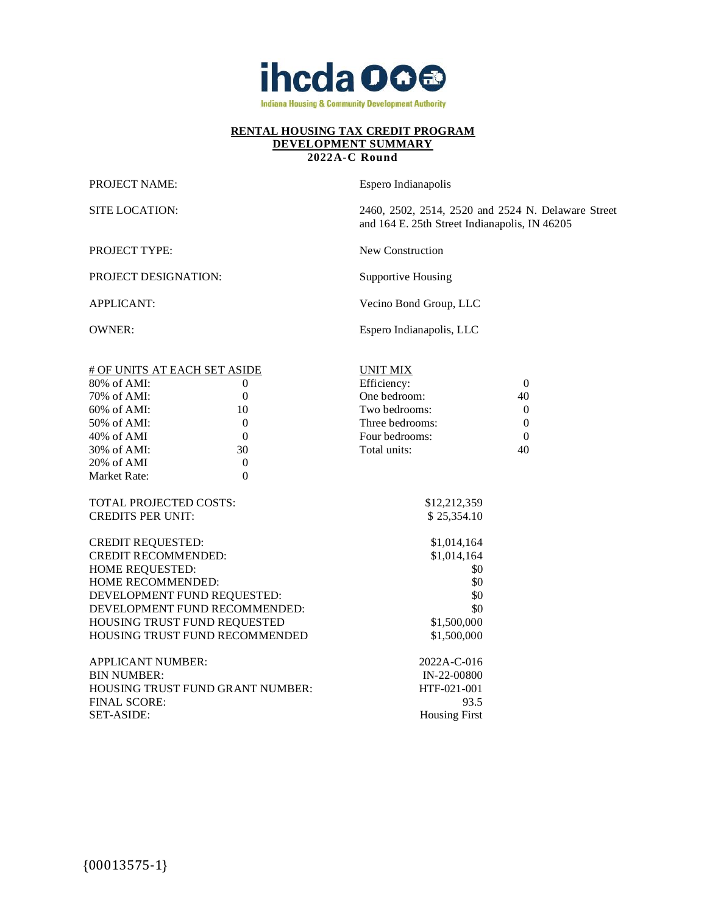

**2022A-C Round**

PROJECT NAME: Espero Indianapolis

PROJECT DESIGNATION: Supportive Housing

SITE LOCATION: 2460, 2502, 2514, 2520 and 2524 N. Delaware Street and 164 E. 25th Street Indianapolis, IN 46205

PROJECT TYPE: New Construction

APPLICANT: Vecino Bond Group, LLC

OWNER: Espero Indianapolis, LLC

| # OF UNITS AT EACH SET ASIDE  |                                         | <b>UNIT MIX</b>      |                  |
|-------------------------------|-----------------------------------------|----------------------|------------------|
| 80% of AMI:                   | $\theta$                                | Efficiency:          | $\overline{0}$   |
| 70% of AMI:                   | $\mathbf{0}$                            | One bedroom:         | 40               |
| 60% of AMI:                   | 10                                      | Two bedrooms:        | $\overline{0}$   |
| 50% of AMI:                   | $\boldsymbol{0}$                        | Three bedrooms:      | $\boldsymbol{0}$ |
| 40% of AMI                    | $\overline{0}$                          | Four bedrooms:       | $\overline{0}$   |
| 30% of AMI:                   | 30                                      | Total units:         | 40               |
| 20% of AMI                    | $\overline{0}$                          |                      |                  |
| Market Rate:                  | $\mathbf{0}$                            |                      |                  |
|                               |                                         |                      |                  |
| <b>TOTAL PROJECTED COSTS:</b> |                                         | \$12,212,359         |                  |
| <b>CREDITS PER UNIT:</b>      |                                         | \$25,354.10          |                  |
|                               |                                         |                      |                  |
| <b>CREDIT REQUESTED:</b>      |                                         | \$1,014,164          |                  |
| <b>CREDIT RECOMMENDED:</b>    |                                         | \$1,014,164          |                  |
| HOME REQUESTED:               |                                         | \$0                  |                  |
| HOME RECOMMENDED:             |                                         | \$0                  |                  |
|                               | DEVELOPMENT FUND REQUESTED:             | \$0                  |                  |
|                               | DEVELOPMENT FUND RECOMMENDED:           | \$0                  |                  |
|                               | HOUSING TRUST FUND REQUESTED            | \$1,500,000          |                  |
|                               | HOUSING TRUST FUND RECOMMENDED          | \$1,500,000          |                  |
|                               |                                         |                      |                  |
| <b>APPLICANT NUMBER:</b>      |                                         | 2022A-C-016          |                  |
| <b>BIN NUMBER:</b>            |                                         | IN-22-00800          |                  |
|                               | <b>HOUSING TRUST FUND GRANT NUMBER:</b> | HTF-021-001          |                  |
| <b>FINAL SCORE:</b>           |                                         | 93.5                 |                  |
| <b>SET-ASIDE:</b>             |                                         | <b>Housing First</b> |                  |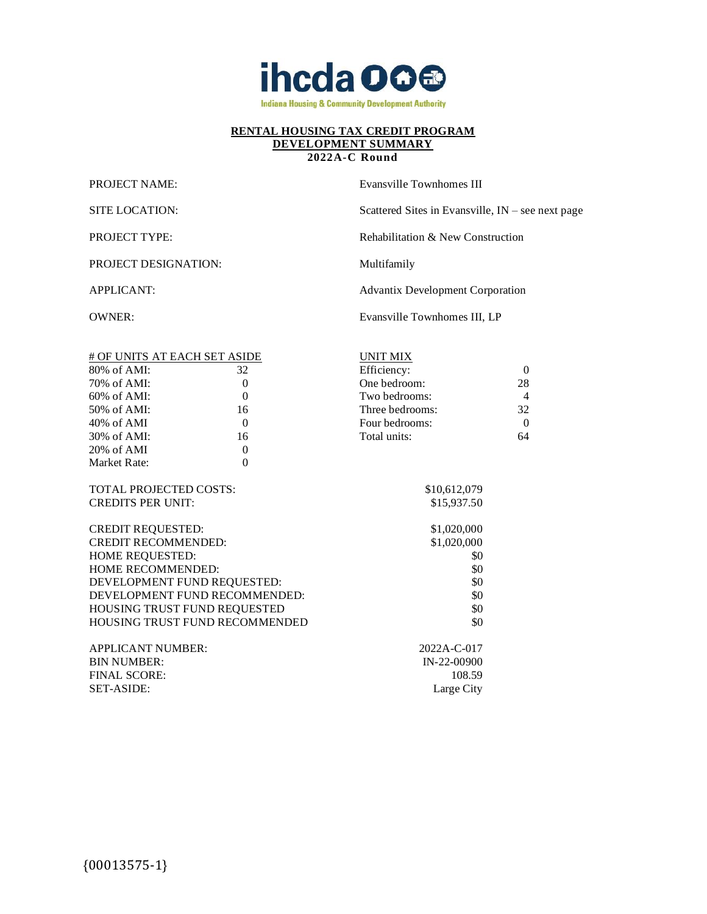

## **2022A-C Round**

| <b>PROJECT NAME:</b> | Evansville Townhomes III                          |
|----------------------|---------------------------------------------------|
| SITE LOCATION:       | Scattered Sites in Evansville, IN – see next page |
| <b>PROJECT TYPE:</b> | Rehabilitation & New Construction                 |
| PROJECT DESIGNATION: | Multifamily                                       |
| APPLICANT:           | <b>Advantix Development Corporation</b>           |
| OWNER:               | Evansville Townhomes III, LP                      |
|                      |                                                   |

| # OF UNITS AT EACH SET ASIDE  |          | UNIT MIX        |          |
|-------------------------------|----------|-----------------|----------|
| $80\%$ of AMI:                | 32       | Efficiency:     | $\Omega$ |
| 70% of AMI:                   | 0        | One bedroom:    | 28       |
| $60\%$ of AMI:                | $\Omega$ | Two bedrooms:   | 4        |
| 50% of AMI:                   | 16       | Three bedrooms: | 32       |
| $40\%$ of AMI                 | $\Omega$ | Four bedrooms:  | 0        |
| 30% of AMI:                   | 16       | Total units:    | 64       |
| $20\%$ of AMI                 | $\Omega$ |                 |          |
| Market Rate:                  | 0        |                 |          |
|                               |          |                 |          |
| <b>TOTAL PROJECTED COSTS:</b> |          | \$10,612,079    |          |

CREDITS PER UNIT: \$15,937.50 CREDIT REQUESTED: \$1,020,000

| <b>CREDIT RECOMMENDED:</b>            | \$1,020,000       |
|---------------------------------------|-------------------|
| <b>HOME REQUESTED:</b>                | \$0               |
| <b>HOME RECOMMENDED:</b>              | \$0               |
| DEVELOPMENT FUND REQUESTED:           | \$0               |
| DEVELOPMENT FUND RECOMMENDED:         | \$0               |
| HOUSING TRUST FUND REQUESTED          | \$0               |
| <b>HOUSING TRUST FUND RECOMMENDED</b> | \$0               |
| <b>APPLICANT NUMBER:</b>              | $2022A - C - 017$ |
|                                       |                   |

| APPLICANT NUMBER: | 2022A-C-017 |
|-------------------|-------------|
| BIN NUMBER:       | IN-22-00900 |
| FINAL SCORE:-     | 108.59      |
| SET-ASIDE: I      | Large City  |
|                   |             |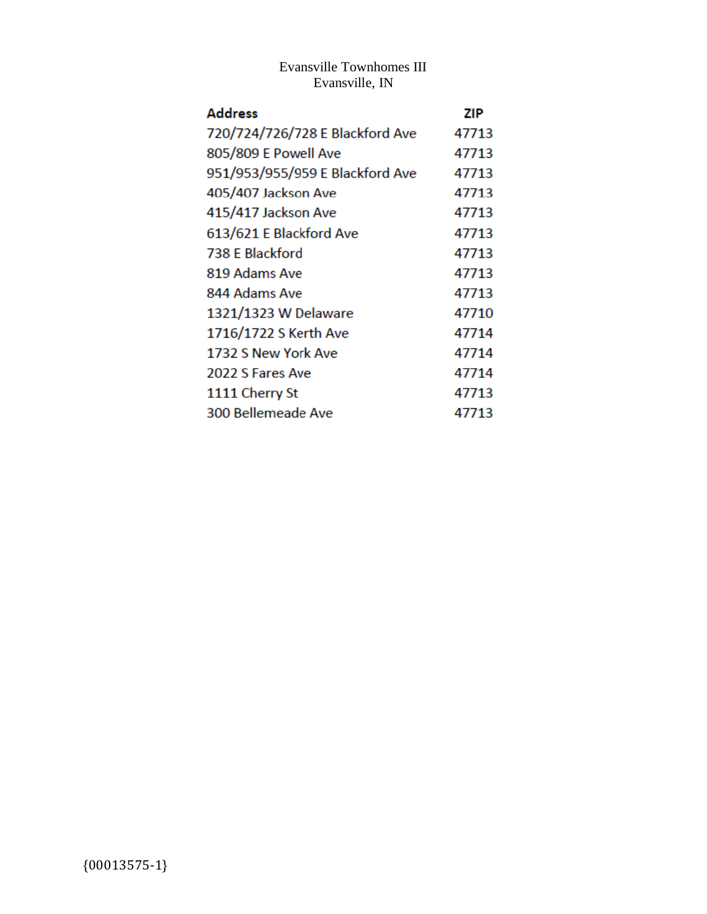# Evansville Townhomes III Evansville, IN

| <b>Address</b>                  | <b>ZIP</b> |
|---------------------------------|------------|
| 720/724/726/728 E Blackford Ave | 47713      |
| 805/809 E Powell Ave            | 47713      |
| 951/953/955/959 E Blackford Ave | 47713      |
| 405/407 Jackson Ave             | 47713      |
| 415/417 Jackson Ave             | 47713      |
| 613/621 E Blackford Ave         | 47713      |
| 738 E Blackford                 | 47713      |
| 819 Adams Ave                   | 47713      |
| 844 Adams Ave                   | 47713      |
| 1321/1323 W Delaware            | 47710      |
| 1716/1722 S Kerth Ave           | 47714      |
| 1732 S New York Ave             | 47714      |
| 2022 S Fares Ave                | 47714      |
| 1111 Cherry St                  | 47713      |
| 300 Bellemeade Ave              | 47713      |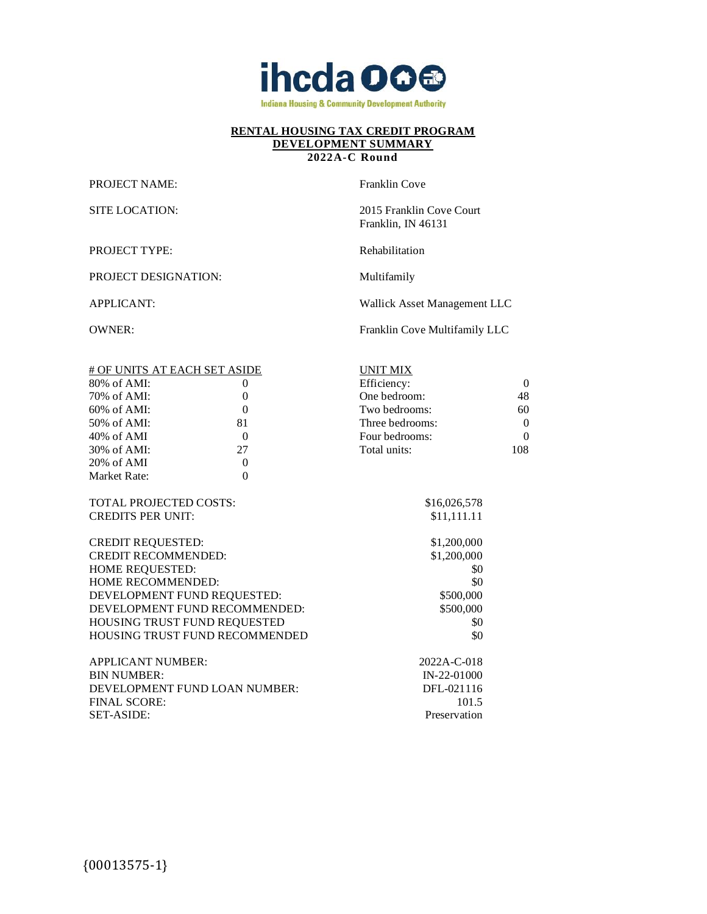

#### **2022A-C Round**

PROJECT NAME: Franklin Cove

SITE LOCATION: 2015 Franklin Cove Court Franklin, IN 46131

PROJECT TYPE: Rehabilitation

PROJECT DESIGNATION: Multifamily

APPLICANT: Wallick Asset Management LLC

OWNER: Franklin Cove Multifamily LLC

| # OF UNITS AT EACH SET ASIDE  |                                | <b>UNIT MIX</b> |                |
|-------------------------------|--------------------------------|-----------------|----------------|
| $80\%$ of AMI:                | 0                              | Efficiency:     | $\Omega$       |
| 70% of AMI:                   | $\overline{0}$                 | One bedroom:    | 48             |
| 60% of AMI:                   | $\mathbf{0}$                   | Two bedrooms:   | 60             |
| 50% of AMI:                   | 81                             | Three bedrooms: | $\overline{0}$ |
| 40% of AMI                    | $\Omega$                       | Four bedrooms:  | $\theta$       |
| 30% of AMI:                   | 27                             | Total units:    | 108            |
| $20\%$ of AMI                 | $\Omega$                       |                 |                |
| Market Rate:                  | $\overline{0}$                 |                 |                |
|                               |                                |                 |                |
| TOTAL PROJECTED COSTS:        |                                | \$16,026,578    |                |
| <b>CREDITS PER UNIT:</b>      |                                | \$11,111.11     |                |
|                               |                                |                 |                |
| <b>CREDIT REQUESTED:</b>      |                                | \$1,200,000     |                |
| <b>CREDIT RECOMMENDED:</b>    |                                | \$1,200,000     |                |
| <b>HOME REQUESTED:</b>        |                                | \$0             |                |
| HOME RECOMMENDED:             |                                | \$0             |                |
| DEVELOPMENT FUND REQUESTED:   |                                | \$500,000       |                |
| DEVELOPMENT FUND RECOMMENDED: |                                | \$500,000       |                |
| HOUSING TRUST FUND REQUESTED  |                                | \$0             |                |
|                               | HOUSING TRUST FUND RECOMMENDED | \$0             |                |
|                               |                                |                 |                |
| <b>APPLICANT NUMBER:</b>      |                                | 2022A-C-018     |                |
| <b>BIN NUMBER:</b>            |                                | $IN-22-01000$   |                |
| DEVELOPMENT FUND LOAN NUMBER: |                                | DFL-021116      |                |
| <b>FINAL SCORE:</b>           |                                | 101.5           |                |
| <b>SET-ASIDE:</b>             |                                | Preservation    |                |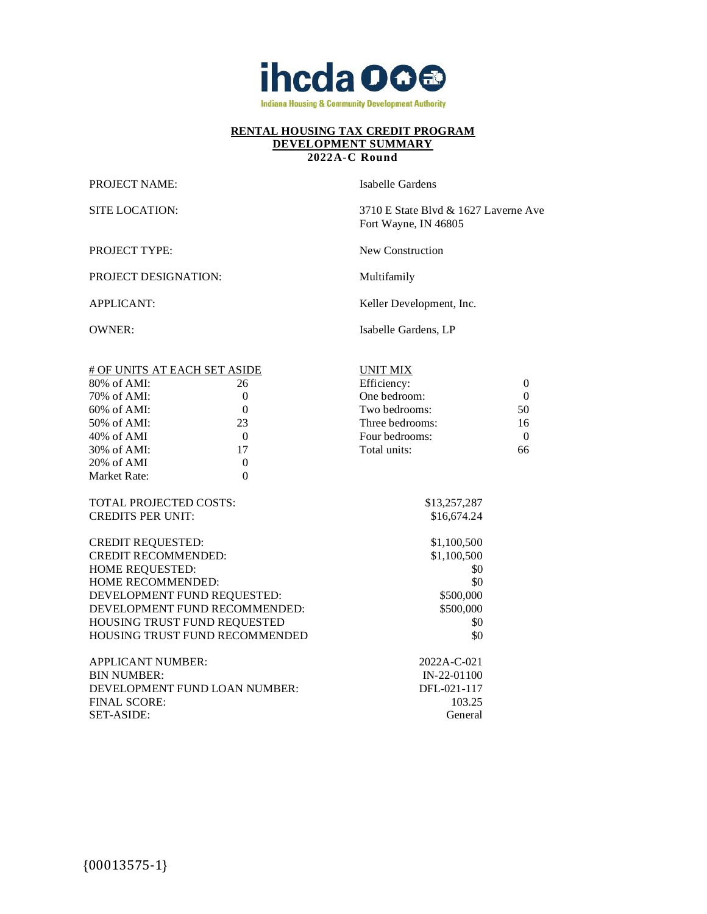

#### **2022A-C Round**

PROJECT NAME: Isabelle Gardens

PROJECT DESIGNATION: Multifamily

SITE LOCATION: 3710 E State Blvd & 1627 Laverne Ave Fort Wayne, IN 46805

PROJECT TYPE: New Construction

APPLICANT: Keller Development, Inc.

OWNER: Isabelle Gardens, LP

| # OF UNITS AT EACH SET ASIDE  |                                | <b>UNIT MIX</b> |              |
|-------------------------------|--------------------------------|-----------------|--------------|
| $80\%$ of AMI:                | 26                             | Efficiency:     | $\mathbf{0}$ |
| 70% of AMI:                   | $\overline{0}$                 | One bedroom:    | $\mathbf{0}$ |
| $60\%$ of AMI:                | $\boldsymbol{0}$               | Two bedrooms:   | 50           |
| 50% of AMI:                   | 23                             | Three bedrooms: | 16           |
| 40% of AMI                    | $\mathbf{0}$                   | Four bedrooms:  | $\mathbf{0}$ |
| 30% of AMI:                   | 17                             | Total units:    | 66           |
| 20% of AMI                    | $\mathbf{0}$                   |                 |              |
| Market Rate:                  | $\mathbf{0}$                   |                 |              |
|                               |                                |                 |              |
| <b>TOTAL PROJECTED COSTS:</b> |                                | \$13,257,287    |              |
| <b>CREDITS PER UNIT:</b>      |                                | \$16,674.24     |              |
|                               |                                |                 |              |
| <b>CREDIT REQUESTED:</b>      |                                | \$1,100,500     |              |
| <b>CREDIT RECOMMENDED:</b>    |                                | \$1,100,500     |              |
| <b>HOME REQUESTED:</b>        |                                | \$0             |              |
| <b>HOME RECOMMENDED:</b>      |                                | \$0             |              |
| DEVELOPMENT FUND REQUESTED:   |                                | \$500,000       |              |
| DEVELOPMENT FUND RECOMMENDED: |                                | \$500,000       |              |
| HOUSING TRUST FUND REQUESTED  |                                | \$0             |              |
|                               | HOUSING TRUST FUND RECOMMENDED | \$0             |              |
|                               |                                |                 |              |
| <b>APPLICANT NUMBER:</b>      |                                | 2022A-C-021     |              |
| <b>BIN NUMBER:</b>            |                                | $IN-22-01100$   |              |
| DEVELOPMENT FUND LOAN NUMBER: |                                | DFL-021-117     |              |
| <b>FINAL SCORE:</b>           |                                | 103.25          |              |
| <b>SET-ASIDE:</b>             |                                | General         |              |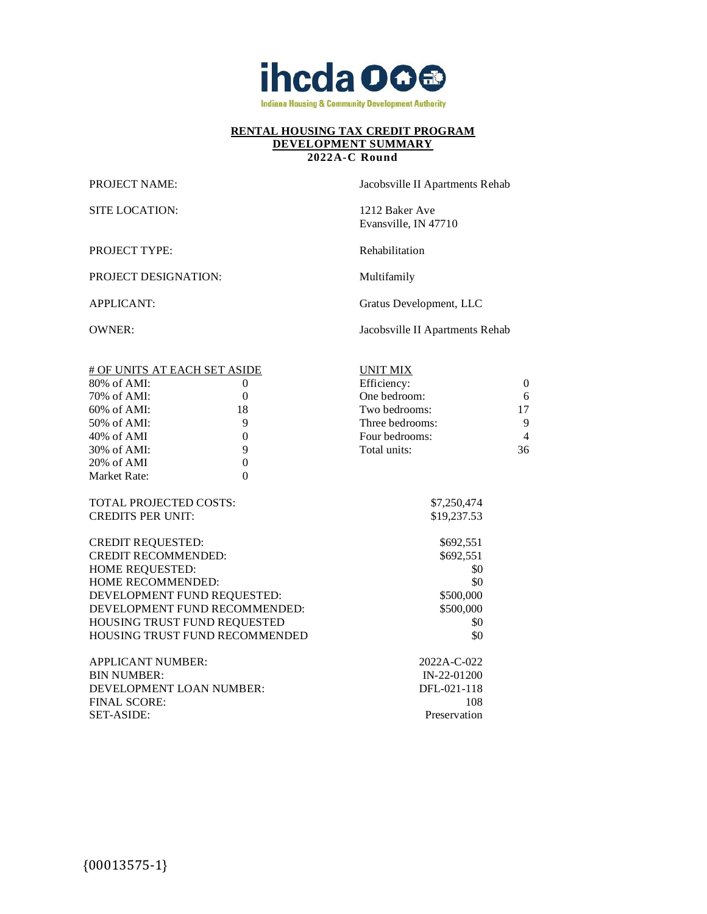

## **2022A-C Round**

SITE LOCATION: 1212 Baker Ave

PROJECT TYPE: Rehabilitation

PROJECT DESIGNATION: Multifamily

PROJECT NAME: Jacobsville II Apartments Rehab

Evansville, IN 47710

APPLICANT: Gratus Development, LLC

OWNER: Jacobsville II Apartments Rehab

| # OF UNITS AT EACH SET ASIDE   |                  | <b>UNIT MIX</b> |                |
|--------------------------------|------------------|-----------------|----------------|
| 80% of AMI:                    | $\theta$         | Efficiency:     | $\theta$       |
| 70% of AMI:                    | $\mathbf{0}$     | One bedroom:    | 6              |
| 60% of AMI:                    | 18               | Two bedrooms:   | 17             |
| 50% of AMI:                    | 9                | Three bedrooms: | 9              |
| 40% of AMI                     | $\boldsymbol{0}$ | Four bedrooms:  | $\overline{4}$ |
| 30% of AMI:                    | 9                | Total units:    | 36             |
| 20% of AMI                     | $\boldsymbol{0}$ |                 |                |
| Market Rate:                   | $\mathbf{0}$     |                 |                |
|                                |                  |                 |                |
| <b>TOTAL PROJECTED COSTS:</b>  |                  | \$7,250,474     |                |
| <b>CREDITS PER UNIT:</b>       |                  | \$19,237.53     |                |
|                                |                  |                 |                |
| <b>CREDIT REQUESTED:</b>       |                  | \$692,551       |                |
| <b>CREDIT RECOMMENDED:</b>     |                  | \$692,551       |                |
| HOME REQUESTED:                |                  | \$0             |                |
| HOME RECOMMENDED:              |                  | \$0             |                |
| DEVELOPMENT FUND REQUESTED:    |                  | \$500,000       |                |
| DEVELOPMENT FUND RECOMMENDED:  |                  | \$500,000       |                |
| HOUSING TRUST FUND REQUESTED   |                  | \$0             |                |
| HOUSING TRUST FUND RECOMMENDED |                  | \$0             |                |
|                                |                  |                 |                |
| <b>APPLICANT NUMBER:</b>       |                  | 2022A-C-022     |                |
| <b>BIN NUMBER:</b>             |                  | IN-22-01200     |                |
| DEVELOPMENT LOAN NUMBER:       |                  | DFL-021-118     |                |
| <b>FINAL SCORE:</b>            |                  | 108             |                |
| <b>SET-ASIDE:</b>              |                  | Preservation    |                |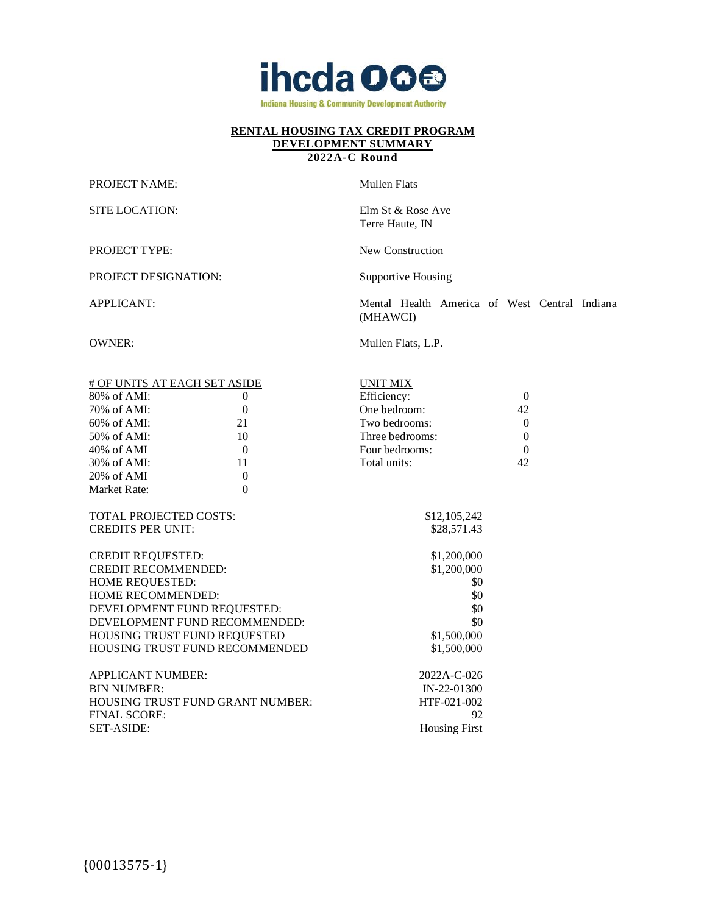

#### **2022A-C Round**

PROJECT NAME: Mullen Flats

SITE LOCATION: Elm St & Rose Ave

PROJECT TYPE: New Construction

PROJECT DESIGNATION: Supportive Housing

APPLICANT: Mental Health America of West Central Indiana (MHAWCI)

OWNER: Mullen Flats, L.P.

Terre Haute, IN

| # OF UNITS AT EACH SET ASIDE<br>$80\%$ of AMI:<br>70% of AMI:<br>60% of AMI:<br>50% of AMI:<br>$40\%$ of AMI<br>30% of AMI: | 0<br>$\theta$<br>21<br>10<br>$\Omega$<br>11 | <b>UNIT MIX</b><br>Efficiency:<br>One bedroom:<br>Two bedrooms:<br>Three bedrooms:<br>Four bedrooms:<br>Total units: | $\theta$<br>42<br>$\overline{0}$<br>$\overline{0}$<br>$\Omega$<br>42 |
|-----------------------------------------------------------------------------------------------------------------------------|---------------------------------------------|----------------------------------------------------------------------------------------------------------------------|----------------------------------------------------------------------|
| 20% of AMI                                                                                                                  | $\theta$                                    |                                                                                                                      |                                                                      |
| Market Rate:                                                                                                                | $\Omega$                                    |                                                                                                                      |                                                                      |
| <b>TOTAL PROJECTED COSTS:</b>                                                                                               |                                             | \$12,105,242                                                                                                         |                                                                      |
| <b>CREDITS PER UNIT:</b>                                                                                                    |                                             | \$28,571.43                                                                                                          |                                                                      |
| <b>CREDIT REQUESTED:</b><br><b>CREDIT RECOMMENDED:</b>                                                                      |                                             | \$1,200,000<br>\$1,200,000                                                                                           |                                                                      |
| <b>HOME REQUESTED:</b>                                                                                                      |                                             | \$0                                                                                                                  |                                                                      |
| HOME RECOMMENDED:                                                                                                           |                                             | \$0                                                                                                                  |                                                                      |
| DEVELOPMENT FUND REQUESTED:                                                                                                 |                                             | \$0                                                                                                                  |                                                                      |
| DEVELOPMENT FUND RECOMMENDED:                                                                                               |                                             | \$0                                                                                                                  |                                                                      |
| HOUSING TRUST FUND REQUESTED                                                                                                |                                             | \$1,500,000                                                                                                          |                                                                      |
|                                                                                                                             | <b>HOUSING TRUST FUND RECOMMENDED</b>       | \$1,500,000                                                                                                          |                                                                      |
| <b>APPLICANT NUMBER:</b><br><b>BIN NUMBER:</b>                                                                              |                                             | $2022A - C - 026$<br>$IN-22-01300$                                                                                   |                                                                      |
| <b>HOUSING TRUST FUND GRANT NUMBER:</b>                                                                                     |                                             | HTF-021-002                                                                                                          |                                                                      |
| <b>FINAL SCORE:</b>                                                                                                         |                                             | 92                                                                                                                   |                                                                      |
| <b>SET-ASIDE:</b>                                                                                                           |                                             | <b>Housing First</b>                                                                                                 |                                                                      |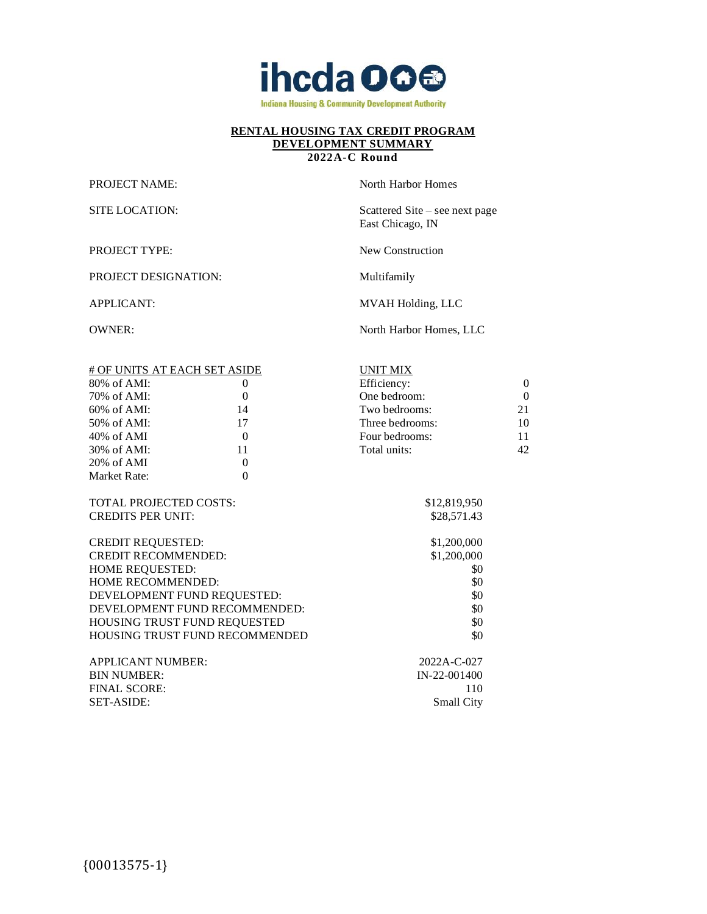

#### **2022A-C Round**

PROJECT NAME: North Harbor Homes

SITE LOCATION: Scattered Site – see next page

PROJECT TYPE: New Construction

PROJECT DESIGNATION: Multifamily

APPLICANT: MVAH Holding, LLC

East Chicago, IN

OWNER: North Harbor Homes, LLC

| # OF UNITS AT EACH SET ASIDE  |                                | <b>UNIT MIX</b>   |          |
|-------------------------------|--------------------------------|-------------------|----------|
| $80\%$ of AMI:                | 0                              | Efficiency:       | $\theta$ |
| 70% of AMI:                   | $\boldsymbol{0}$               | One bedroom:      | $\Omega$ |
| 60% of AMI:                   | 14                             | Two bedrooms:     | 21       |
| 50% of AMI:                   | 17                             | Three bedrooms:   | 10       |
| $40\%$ of AMI                 | $\overline{0}$                 | Four bedrooms:    | 11       |
| 30% of AMI:                   | 11                             | Total units:      | 42       |
| 20% of AMI                    | $\theta$                       |                   |          |
| Market Rate:                  | $\overline{0}$                 |                   |          |
|                               |                                |                   |          |
| <b>TOTAL PROJECTED COSTS:</b> |                                | \$12,819,950      |          |
| <b>CREDITS PER UNIT:</b>      |                                | \$28,571.43       |          |
|                               |                                |                   |          |
| <b>CREDIT REQUESTED:</b>      |                                | \$1,200,000       |          |
| <b>CREDIT RECOMMENDED:</b>    |                                | \$1,200,000       |          |
| HOME REQUESTED:               |                                | \$0               |          |
| HOME RECOMMENDED:             |                                | \$0               |          |
| DEVELOPMENT FUND REQUESTED:   |                                | \$0               |          |
| DEVELOPMENT FUND RECOMMENDED: |                                | \$0               |          |
| HOUSING TRUST FUND REQUESTED  |                                | \$0               |          |
|                               | HOUSING TRUST FUND RECOMMENDED | \$0               |          |
|                               |                                |                   |          |
| <b>APPLICANT NUMBER:</b>      |                                | 2022A-C-027       |          |
| <b>BIN NUMBER:</b>            |                                | IN-22-001400      |          |
| <b>FINAL SCORE:</b>           |                                | 110               |          |
| SET-ASIDE:                    |                                | <b>Small City</b> |          |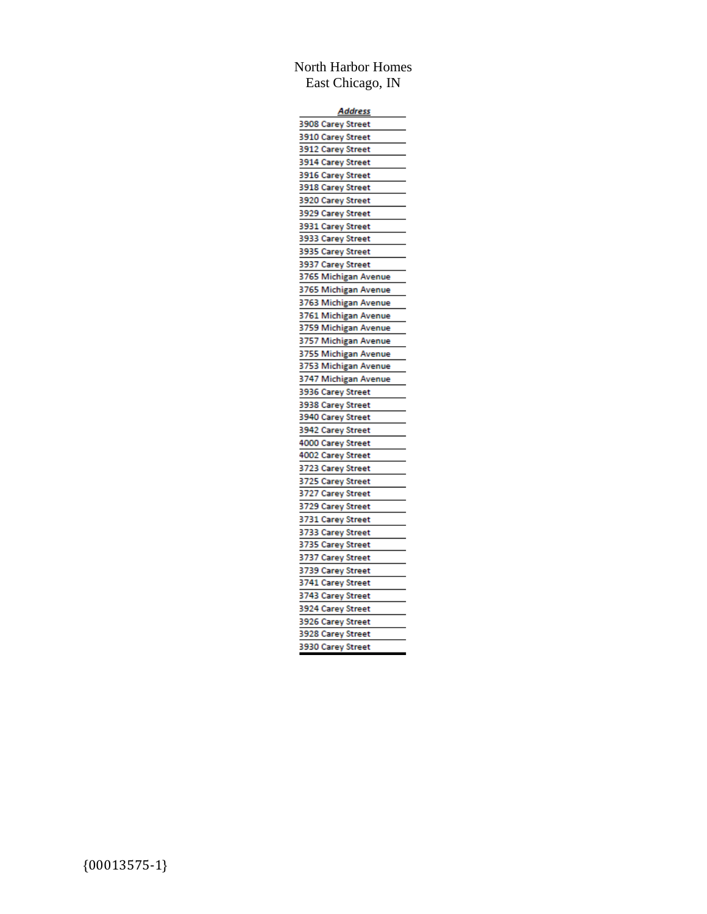## North Harbor Homes East Chicago, IN

| <u>Address</u>       |  |  |  |
|----------------------|--|--|--|
| 3908 Carey Street    |  |  |  |
| 3910 Carey Street    |  |  |  |
| 3912 Carey Street    |  |  |  |
| 3914 Carey Street    |  |  |  |
| 3916 Carey Street    |  |  |  |
| 3918 Carey Street    |  |  |  |
| 3920 Carey Street    |  |  |  |
| 3929 Carey Street    |  |  |  |
| 3931 Carey Street    |  |  |  |
| 3933 Carey Street    |  |  |  |
| 3935 Carey Street    |  |  |  |
| 3937 Carey Street    |  |  |  |
| 3765 Michigan Avenue |  |  |  |
| 3765 Michigan Avenue |  |  |  |
| 3763 Michigan Avenue |  |  |  |
| 3761 Michigan Avenue |  |  |  |
| 3759 Michigan Avenue |  |  |  |
| 3757 Michigan Avenue |  |  |  |
| 3755 Michigan Avenue |  |  |  |
| 3753 Michigan Avenue |  |  |  |
| 3747 Michigan Avenue |  |  |  |
| 3936 Carey Street    |  |  |  |
| 3938 Carey Street    |  |  |  |
| 3940 Carey Street    |  |  |  |
| 3942 Carey Street    |  |  |  |
| 4000 Carey Street    |  |  |  |
| 4002 Carey Street    |  |  |  |
| 3723 Carey Street    |  |  |  |
| 3725 Carey Street    |  |  |  |
| 3727 Carey Street    |  |  |  |
| 3729 Carey Street    |  |  |  |
| 3731 Carey Street    |  |  |  |
| 3733 Carey Street    |  |  |  |
| 3735 Carey Street    |  |  |  |
| 3737 Carey Street    |  |  |  |
| 3739 Carey Street    |  |  |  |
| 3741 Carey Street    |  |  |  |
| 3743 Carey Street    |  |  |  |
| 3924 Carey Street    |  |  |  |
| 3926 Carey Street    |  |  |  |
| 3928 Carey Street    |  |  |  |
| 3930 Carey Street    |  |  |  |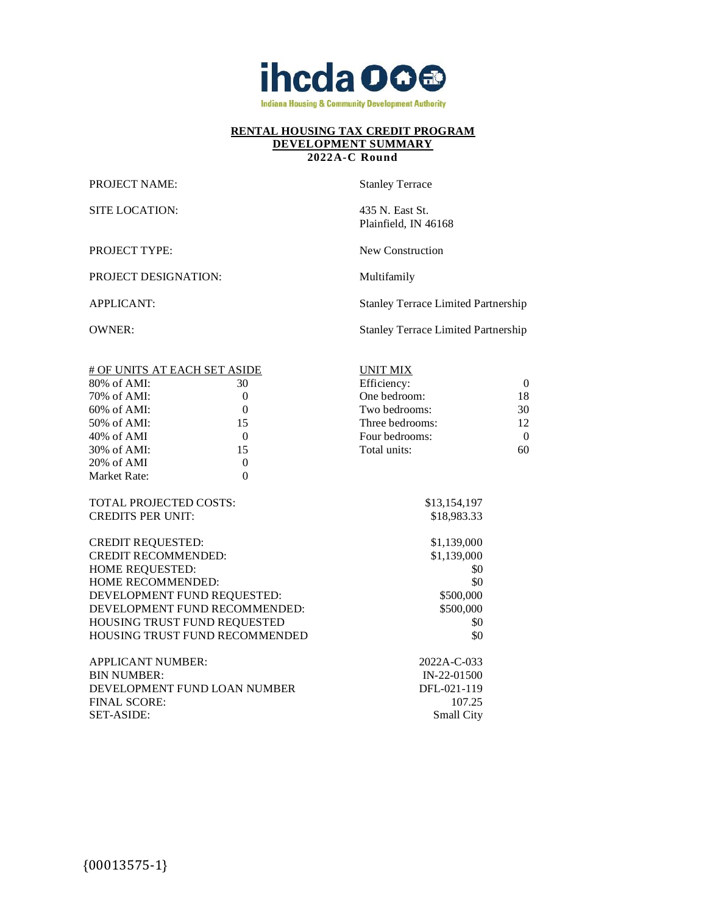

#### **2022A-C Round**

PROJECT NAME: Stanley Terrace

SITE LOCATION: 435 N. East St.

PROJECT DESIGNATION: Multifamily

Plainfield, IN 46168

PROJECT TYPE: New Construction

APPLICANT: Stanley Terrace Limited Partnership

OWNER: Stanley Terrace Limited Partnership

| # OF UNITS AT EACH SET ASIDE  |                                | <b>UNIT MIX</b>   |          |
|-------------------------------|--------------------------------|-------------------|----------|
| $80\%$ of AMI:                | 30                             | Efficiency:       | $\Omega$ |
| 70% of AMI:                   | $\mathbf{0}$                   | One bedroom:      | 18       |
| $60\%$ of AMI:                | $\theta$                       | Two bedrooms:     | 30       |
| 50% of AMI:                   | 15                             | Three bedrooms:   | 12       |
| $40\%$ of AMI                 | $\theta$                       | Four bedrooms:    | $\theta$ |
| 30% of AMI:                   | 15                             | Total units:      | 60       |
| 20% of AMI                    | $\mathbf{0}$                   |                   |          |
| Market Rate:                  | $\mathbf{0}$                   |                   |          |
|                               |                                |                   |          |
| <b>TOTAL PROJECTED COSTS:</b> |                                | \$13,154,197      |          |
| <b>CREDITS PER UNIT:</b>      |                                | \$18,983.33       |          |
|                               |                                |                   |          |
| <b>CREDIT REQUESTED:</b>      |                                | \$1,139,000       |          |
| <b>CREDIT RECOMMENDED:</b>    |                                | \$1,139,000       |          |
| HOME REQUESTED:               |                                | \$0               |          |
| HOME RECOMMENDED:             |                                | \$0               |          |
| DEVELOPMENT FUND REQUESTED:   |                                | \$500,000         |          |
| DEVELOPMENT FUND RECOMMENDED: |                                | \$500,000         |          |
| HOUSING TRUST FUND REQUESTED  |                                | \$0               |          |
|                               | HOUSING TRUST FUND RECOMMENDED | \$0               |          |
|                               |                                |                   |          |
| <b>APPLICANT NUMBER:</b>      |                                | 2022A-C-033       |          |
| <b>BIN NUMBER:</b>            |                                | $IN-22-01500$     |          |
| DEVELOPMENT FUND LOAN NUMBER  |                                | DFL-021-119       |          |
| <b>FINAL SCORE:</b>           |                                | 107.25            |          |
| <b>SET-ASIDE:</b>             |                                | <b>Small City</b> |          |